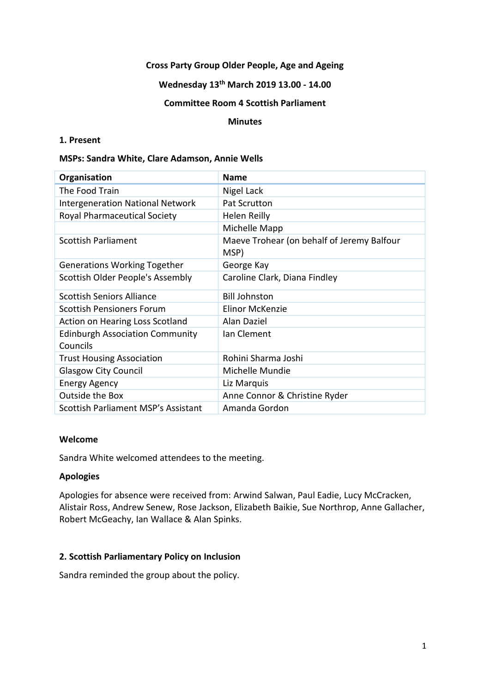### **Cross Party Group Older People, Age and Ageing**

## **Wednesday 13th March 2019 13.00 - 14.00**

### **Committee Room 4 Scottish Parliament**

#### **Minutes**

### **1. Present**

#### **MSPs: Sandra White, Clare Adamson, Annie Wells**

| Organisation                            | <b>Name</b>                                |
|-----------------------------------------|--------------------------------------------|
| The Food Train                          | Nigel Lack                                 |
| <b>Intergeneration National Network</b> | Pat Scrutton                               |
| <b>Royal Pharmaceutical Society</b>     | Helen Reilly                               |
|                                         | Michelle Mapp                              |
| <b>Scottish Parliament</b>              | Maeve Trohear (on behalf of Jeremy Balfour |
|                                         | MSP)                                       |
| <b>Generations Working Together</b>     | George Kay                                 |
| Scottish Older People's Assembly        | Caroline Clark, Diana Findley              |
| <b>Scottish Seniors Alliance</b>        | <b>Bill Johnston</b>                       |
| <b>Scottish Pensioners Forum</b>        | Elinor McKenzie                            |
| Action on Hearing Loss Scotland         | Alan Daziel                                |
| <b>Edinburgh Association Community</b>  | Ian Clement                                |
| Councils                                |                                            |
| <b>Trust Housing Association</b>        | Rohini Sharma Joshi                        |
| <b>Glasgow City Council</b>             | Michelle Mundie                            |
| <b>Energy Agency</b>                    | Liz Marquis                                |
| Outside the Box                         | Anne Connor & Christine Ryder              |
| Scottish Parliament MSP's Assistant     | Amanda Gordon                              |

### **Welcome**

Sandra White welcomed attendees to the meeting.

### **Apologies**

Apologies for absence were received from: Arwind Salwan, Paul Eadie, Lucy McCracken, Alistair Ross, Andrew Senew, Rose Jackson, Elizabeth Baikie, Sue Northrop, Anne Gallacher, Robert McGeachy, Ian Wallace & Alan Spinks.

# **2. Scottish Parliamentary Policy on Inclusion**

Sandra reminded the group about the policy.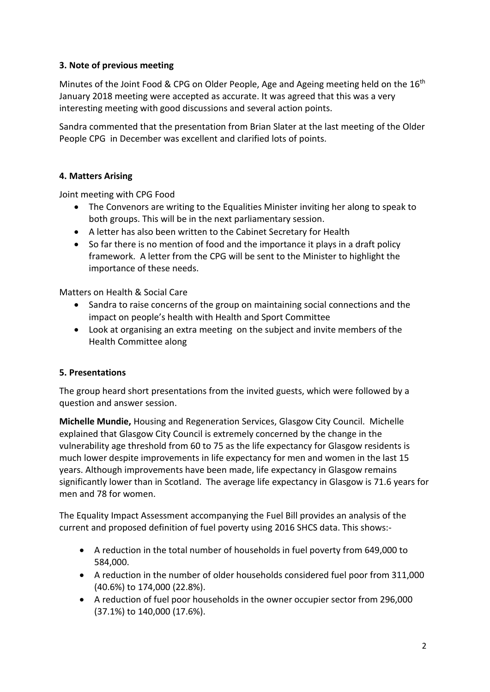# **3. Note of previous meeting**

Minutes of the Joint Food & CPG on Older People, Age and Ageing meeting held on the 16<sup>th</sup> January 2018 meeting were accepted as accurate. It was agreed that this was a very interesting meeting with good discussions and several action points.

Sandra commented that the presentation from Brian Slater at the last meeting of the Older People CPG in December was excellent and clarified lots of points.

# **4. Matters Arising**

Joint meeting with CPG Food

- The Convenors are writing to the Equalities Minister inviting her along to speak to both groups. This will be in the next parliamentary session.
- A letter has also been written to the Cabinet Secretary for Health
- So far there is no mention of food and the importance it plays in a draft policy framework. A letter from the CPG will be sent to the Minister to highlight the importance of these needs.

Matters on Health & Social Care

- Sandra to raise concerns of the group on maintaining social connections and the impact on people's health with Health and Sport Committee
- Look at organising an extra meeting on the subject and invite members of the Health Committee along

## **5. Presentations**

The group heard short presentations from the invited guests, which were followed by a question and answer session.

**Michelle Mundie,** Housing and Regeneration Services, Glasgow City Council. Michelle explained that Glasgow City Council is extremely concerned by the change in the vulnerability age threshold from 60 to 75 as the life expectancy for Glasgow residents is much lower despite improvements in life expectancy for men and women in the last 15 years. Although improvements have been made, life expectancy in Glasgow remains significantly lower than in Scotland. The average life expectancy in Glasgow is 71.6 years for men and 78 for women.

The Equality Impact Assessment accompanying the Fuel Bill provides an analysis of the current and proposed definition of fuel poverty using 2016 SHCS data. This shows:-

- A reduction in the total number of households in fuel poverty from 649,000 to 584,000.
- A reduction in the number of older households considered fuel poor from 311,000 (40.6%) to 174,000 (22.8%).
- A reduction of fuel poor households in the owner occupier sector from 296,000 (37.1%) to 140,000 (17.6%).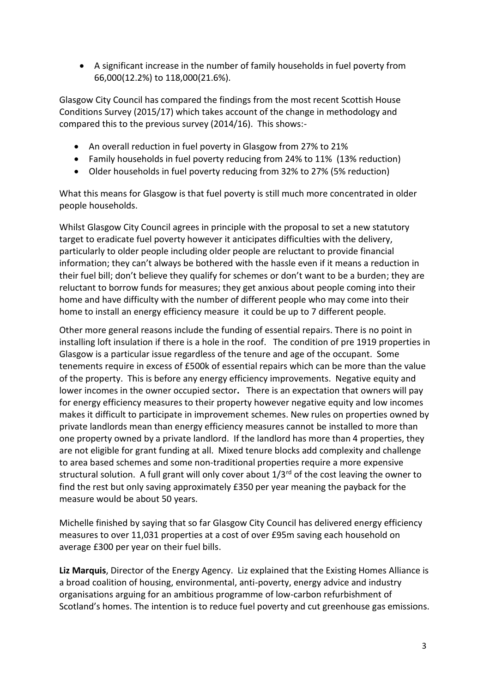• A significant increase in the number of family households in fuel poverty from 66,000(12.2%) to 118,000(21.6%).

Glasgow City Council has compared the findings from the most recent Scottish House Conditions Survey (2015/17) which takes account of the change in methodology and compared this to the previous survey (2014/16). This shows:-

- An overall reduction in fuel poverty in Glasgow from 27% to 21%
- Family households in fuel poverty reducing from 24% to 11% (13% reduction)
- Older households in fuel poverty reducing from 32% to 27% (5% reduction)

What this means for Glasgow is that fuel poverty is still much more concentrated in older people households.

Whilst Glasgow City Council agrees in principle with the proposal to set a new statutory target to eradicate fuel poverty however it anticipates difficulties with the delivery, particularly to older people including older people are reluctant to provide financial information; they can't always be bothered with the hassle even if it means a reduction in their fuel bill; don't believe they qualify for schemes or don't want to be a burden; they are reluctant to borrow funds for measures; they get anxious about people coming into their home and have difficulty with the number of different people who may come into their home to install an energy efficiency measure it could be up to 7 different people.

Other more general reasons include the funding of essential repairs. There is no point in installing loft insulation if there is a hole in the roof. The condition of pre 1919 properties in Glasgow is a particular issue regardless of the tenure and age of the occupant. Some tenements require in excess of £500k of essential repairs which can be more than the value of the property. This is before any energy efficiency improvements. Negative equity and lower incomes in the owner occupied sector**.** There is an expectation that owners will pay for energy efficiency measures to their property however negative equity and low incomes makes it difficult to participate in improvement schemes. New rules on properties owned by private landlords mean than energy efficiency measures cannot be installed to more than one property owned by a private landlord. If the landlord has more than 4 properties, they are not eligible for grant funding at all. Mixed tenure blocks add complexity and challenge to area based schemes and some non-traditional properties require a more expensive structural solution. A full grant will only cover about  $1/3<sup>rd</sup>$  of the cost leaving the owner to find the rest but only saving approximately £350 per year meaning the payback for the measure would be about 50 years.

Michelle finished by saying that so far Glasgow City Council has delivered energy efficiency measures to over 11,031 properties at a cost of over £95m saving each household on average £300 per year on their fuel bills.

**Liz Marquis**, Director of the Energy Agency. Liz explained that the Existing Homes Alliance is a broad coalition of housing, environmental, anti-poverty, energy advice and industry organisations arguing for an ambitious programme of low-carbon refurbishment of Scotland's homes. The intention is to reduce fuel poverty and cut greenhouse gas emissions.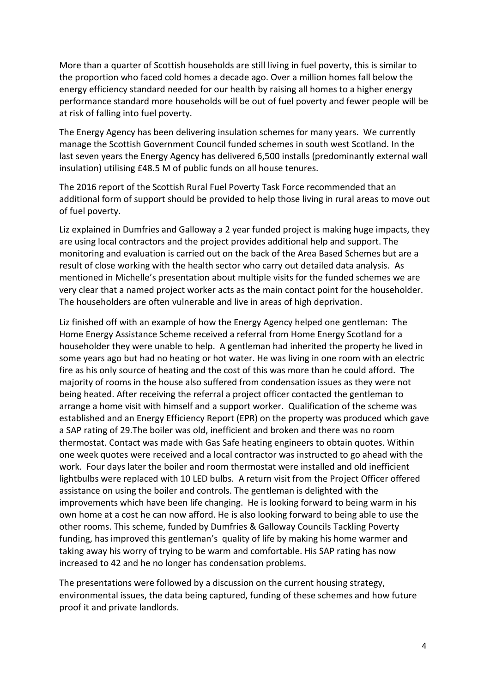More than a quarter of Scottish households are still living in fuel poverty, this is similar to the proportion who faced cold homes a decade ago. Over a million homes fall below the energy efficiency standard needed for our health by raising all homes to a higher energy performance standard more households will be out of fuel poverty and fewer people will be at risk of falling into fuel poverty.

The Energy Agency has been delivering insulation schemes for many years. We currently manage the Scottish Government Council funded schemes in south west Scotland. In the last seven years the Energy Agency has delivered 6,500 installs (predominantly external wall insulation) utilising £48.5 M of public funds on all house tenures.

The 2016 report of the Scottish Rural Fuel Poverty Task Force recommended that an additional form of support should be provided to help those living in rural areas to move out of fuel poverty.

Liz explained in Dumfries and Galloway a 2 year funded project is making huge impacts, they are using local contractors and the project provides additional help and support. The monitoring and evaluation is carried out on the back of the Area Based Schemes but are a result of close working with the health sector who carry out detailed data analysis. As mentioned in Michelle's presentation about multiple visits for the funded schemes we are very clear that a named project worker acts as the main contact point for the householder. The householders are often vulnerable and live in areas of high deprivation.

Liz finished off with an example of how the Energy Agency helped one gentleman: The Home Energy Assistance Scheme received a referral from Home Energy Scotland for a householder they were unable to help. A gentleman had inherited the property he lived in some years ago but had no heating or hot water. He was living in one room with an electric fire as his only source of heating and the cost of this was more than he could afford. The majority of rooms in the house also suffered from condensation issues as they were not being heated. After receiving the referral a project officer contacted the gentleman to arrange a home visit with himself and a support worker. Qualification of the scheme was established and an Energy Efficiency Report (EPR) on the property was produced which gave a SAP rating of 29.The boiler was old, inefficient and broken and there was no room thermostat. Contact was made with Gas Safe heating engineers to obtain quotes. Within one week quotes were received and a local contractor was instructed to go ahead with the work. Four days later the boiler and room thermostat were installed and old inefficient lightbulbs were replaced with 10 LED bulbs. A return visit from the Project Officer offered assistance on using the boiler and controls. The gentleman is delighted with the improvements which have been life changing. He is looking forward to being warm in his own home at a cost he can now afford. He is also looking forward to being able to use the other rooms. This scheme, funded by Dumfries & Galloway Councils Tackling Poverty funding, has improved this gentleman's quality of life by making his home warmer and taking away his worry of trying to be warm and comfortable. His SAP rating has now increased to 42 and he no longer has condensation problems.

The presentations were followed by a discussion on the current housing strategy, environmental issues, the data being captured, funding of these schemes and how future proof it and private landlords.